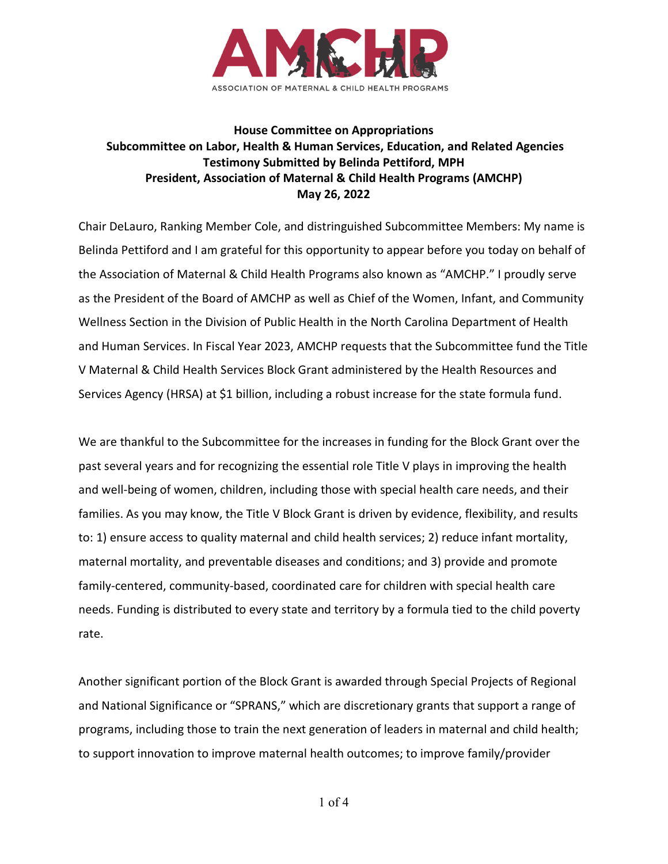

## **House Committee on Appropriations Subcommittee on Labor, Health & Human Services, Education, and Related Agencies Testimony Submitted by Belinda Pettiford, MPH President, Association of Maternal & Child Health Programs (AMCHP) May 26, 2022**

Chair DeLauro, Ranking Member Cole, and distringuished Subcommittee Members: My name is Belinda Pettiford and I am grateful for this opportunity to appear before you today on behalf of the Association of Maternal & Child Health Programs also known as "AMCHP." I proudly serve as the President of the Board of AMCHP as well as Chief of the Women, Infant, and Community Wellness Section in the Division of Public Health in the North Carolina Department of Health and Human Services. In Fiscal Year 2023, AMCHP requests that the Subcommittee fund the Title V Maternal & Child Health Services Block Grant administered by the Health Resources and Services Agency (HRSA) at \$1 billion, including a robust increase for the state formula fund.

We are thankful to the Subcommittee for the increases in funding for the Block Grant over the past several years and for recognizing the essential role Title V plays in improving the health and well-being of women, children, including those with special health care needs, and their families. As you may know, the Title V Block Grant is driven by evidence, flexibility, and results to: 1) ensure access to quality maternal and child health services; 2) reduce infant mortality, maternal mortality, and preventable diseases and conditions; and 3) provide and promote family-centered, community-based, coordinated care for children with special health care needs. Funding is distributed to every state and territory by a formula tied to the child poverty rate.

Another significant portion of the Block Grant is awarded through Special Projects of Regional and National Significance or "SPRANS," which are discretionary grants that support a range of programs, including those to train the next generation of leaders in maternal and child health; to support innovation to improve maternal health outcomes; to improve family/provider

1 of 4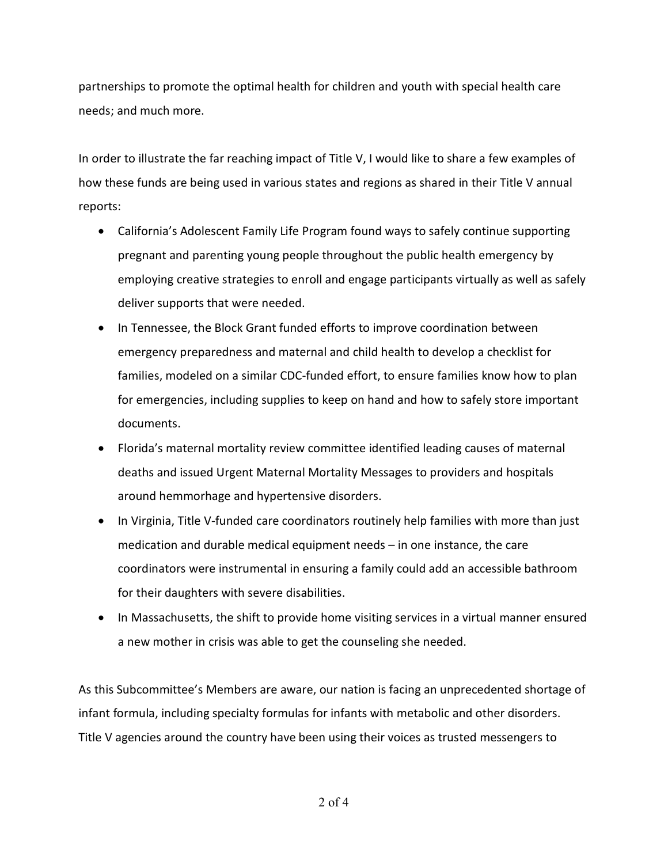partnerships to promote the optimal health for children and youth with special health care needs; and much more.

In order to illustrate the far reaching impact of Title V, I would like to share a few examples of how these funds are being used in various states and regions as shared in their Title V annual reports:

- California's Adolescent Family Life Program found ways to safely continue supporting pregnant and parenting young people throughout the public health emergency by employing creative strategies to enroll and engage participants virtually as well as safely deliver supports that were needed.
- In Tennessee, the Block Grant funded efforts to improve coordination between emergency preparedness and maternal and child health to develop a checklist for families, modeled on a similar CDC-funded effort, to ensure families know how to plan for emergencies, including supplies to keep on hand and how to safely store important documents.
- Florida's maternal mortality review committee identified leading causes of maternal deaths and issued Urgent Maternal Mortality Messages to providers and hospitals around hemmorhage and hypertensive disorders.
- In Virginia, Title V-funded care coordinators routinely help families with more than just medication and durable medical equipment needs – in one instance, the care coordinators were instrumental in ensuring a family could add an accessible bathroom for their daughters with severe disabilities.
- In Massachusetts, the shift to provide home visiting services in a virtual manner ensured a new mother in crisis was able to get the counseling she needed.

As this Subcommittee's Members are aware, our nation is facing an unprecedented shortage of infant formula, including specialty formulas for infants with metabolic and other disorders. Title V agencies around the country have been using their voices as trusted messengers to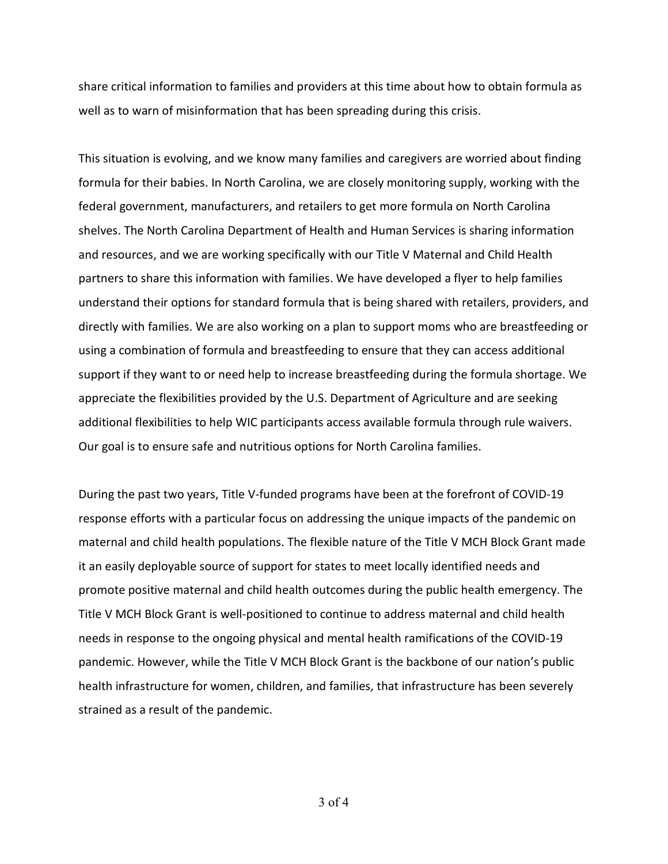share critical information to families and providers at this time about how to obtain formula as well as to warn of misinformation that has been spreading during this crisis.

This situation is evolving, and we know many families and caregivers are worried about finding formula for their babies. In North Carolina, we are closely monitoring supply, working with the federal government, manufacturers, and retailers to get more formula on North Carolina shelves. The North Carolina Department of Health and Human Services is sharing information and resources, and we are working specifically with our Title V Maternal and Child Health partners to share this information with families. We have developed a flyer to help families understand their options for standard formula that is being shared with retailers, providers, and directly with families. We are also working on a plan to support moms who are breastfeeding or using a combination of formula and breastfeeding to ensure that they can access additional support if they want to or need help to increase breastfeeding during the formula shortage. We appreciate the flexibilities provided by the U.S. Department of Agriculture and are seeking additional flexibilities to help WIC participants access available formula through rule waivers. Our goal is to ensure safe and nutritious options for North Carolina families.

During the past two years, Title V-funded programs have been at the forefront of COVID-19 response efforts with a particular focus on addressing the unique impacts of the pandemic on maternal and child health populations. The flexible nature of the Title V MCH Block Grant made it an easily deployable source of support for states to meet locally identified needs and promote positive maternal and child health outcomes during the public health emergency. The Title V MCH Block Grant is well-positioned to continue to address maternal and child health needs in response to the ongoing physical and mental health ramifications of the COVID-19 pandemic. However, while the Title V MCH Block Grant is the backbone of our nation's public health infrastructure for women, children, and families, that infrastructure has been severely strained as a result of the pandemic.

3 of 4